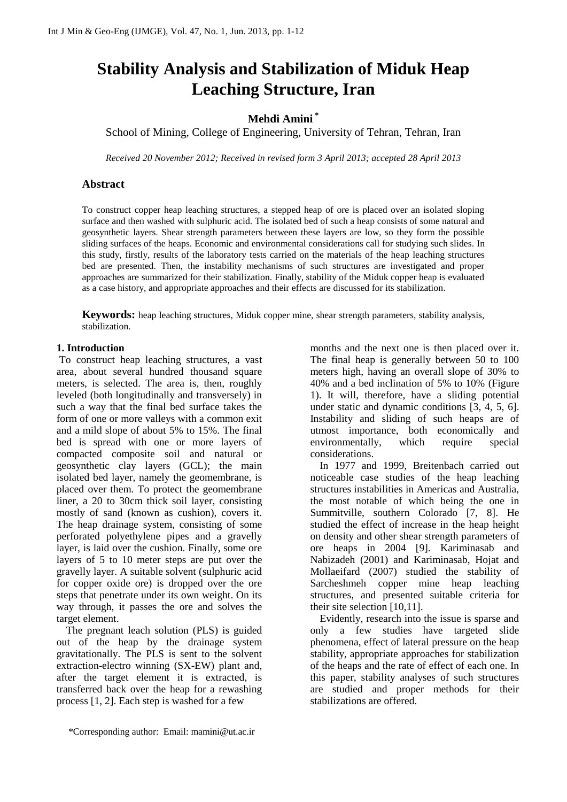# **Stability Analysis and Stabilization of Miduk Heap Leaching Structure, Iran**

# **Mehdi Amini \***

School of Mining, College of Engineering, University of Tehran, Tehran, Iran

*Received 20 November 2012; Received in revised form 3 April 2013; accepted 28 April 2013*

# **Abstract**

To construct copper heap leaching structures, a stepped heap of ore is placed over an isolated sloping surface and then washed with sulphuric acid. The isolated bed of such a heap consists of some natural and geosynthetic layers. Shear strength parameters between these layers are low, so they form the possible sliding surfaces of the heaps. Economic and environmental considerations call for studying such slides. In this study, firstly, results of the laboratory tests carried on the materials of the heap leaching structures bed are presented. Then, the instability mechanisms of such structures are investigated and proper approaches are summarized for their stabilization. Finally, stability of the Miduk copper heap is evaluated as a case history, and appropriate approaches and their effects are discussed for its stabilization.

**Keywords:** heap leaching structures, Miduk copper mine, shear strength parameters, stability analysis, stabilization.

## **1. Introduction**

To construct heap leaching structures, a vast area, about several hundred thousand square meters, is selected. The area is, then, roughly leveled (both longitudinally and transversely) in such a way that the final bed surface takes the form of one or more valleys with a common exit and a mild slope of about 5% to 15%. The final bed is spread with one or more layers of compacted composite soil and natural or geosynthetic clay layers (GCL); the main isolated bed layer, namely the geomembrane, is placed over them. To protect the geomembrane liner, a 20 to 30cm thick soil layer, consisting mostly of sand (known as cushion), covers it. The heap drainage system, consisting of some perforated polyethylene pipes and a gravelly layer, is laid over the cushion. Finally, some ore layers of 5 to 10 meter steps are put over the gravelly layer. A suitable solvent (sulphuric acid for copper oxide ore) is dropped over the ore steps that penetrate under its own weight. On its way through, it passes the ore and solves the target element.

The pregnant leach solution (PLS) is guided out of the heap by the drainage system gravitationally. The PLS is sent to the solvent extraction-electro winning (SX-EW) plant and, after the target element it is extracted, is transferred back over the heap for a rewashing process [1, 2]. Each step is washed for a few

\*Corresponding author: Email: mamini@ut.ac.ir

months and the next one is then placed over it. The final heap is generally between 50 to 100 meters high, having an overall slope of 30% to 40% and a bed inclination of 5% to 10% (Figure 1). It will, therefore, have a sliding potential under static and dynamic conditions [3, 4, 5, 6]. Instability and sliding of such heaps are of utmost importance, both economically and environmentally, which require special considerations.

In 1977 and 1999, Breitenbach carried out noticeable case studies of the heap leaching structures instabilities in Americas and Australia, the most notable of which being the one in Summitville, southern Colorado [7, 8]. He studied the effect of increase in the heap height on density and other shear strength parameters of ore heaps in 2004 [9]. Kariminasab and Nabizadeh (2001) and Kariminasab, Hojat and Mollaeifard (2007) studied the stability of Sarcheshmeh copper mine heap leaching structures, and presented suitable criteria for their site selection [10,11].

Evidently, research into the issue is sparse and only a few studies have targeted slide phenomena, effect of lateral pressure on the heap stability, appropriate approaches for stabilization of the heaps and the rate of effect of each one. In this paper, stability analyses of such structures are studied and proper methods for their stabilizations are offered.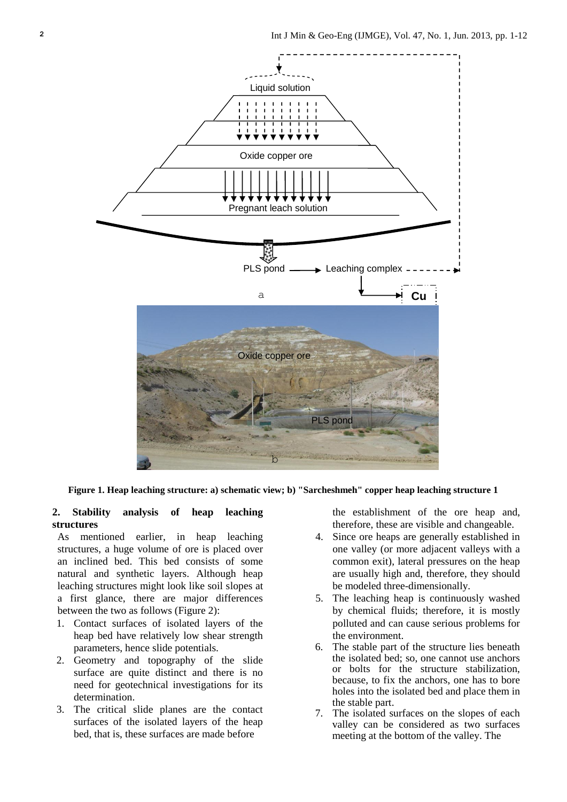

**Figure 1. Heap leaching structure: a) schematic view; b) "Sarcheshmeh" copper heap leaching structure 1**

# **2. Stability analysis of heap leaching structures**

As mentioned earlier, in heap leaching structures, a huge volume of ore is placed over an inclined bed. This bed consists of some natural and synthetic layers. Although heap leaching structures might look like soil slopes at a first glance, there are major differences between the two as follows (Figure 2):

- 1. Contact surfaces of isolated layers of the heap bed have relatively low shear strength parameters, hence slide potentials.
- 2. Geometry and topography of the slide surface are quite distinct and there is no need for geotechnical investigations for its determination.
- 3. The critical slide planes are the contact surfaces of the isolated layers of the heap bed, that is, these surfaces are made before

the establishment of the ore heap and, therefore, these are visible and changeable.

- 4. Since ore heaps are generally established in one valley (or more adjacent valleys with a common exit), lateral pressures on the heap are usually high and, therefore, they should be modeled three-dimensionally.
- 5. The leaching heap is continuously washed by chemical fluids; therefore, it is mostly polluted and can cause serious problems for the environment.
- 6. The stable part of the structure lies beneath the isolated bed; so, one cannot use anchors or bolts for the structure stabilization, because, to fix the anchors, one has to bore holes into the isolated bed and place them in the stable part.
- 7. The isolated surfaces on the slopes of each valley can be considered as two surfaces meeting at the bottom of the valley. The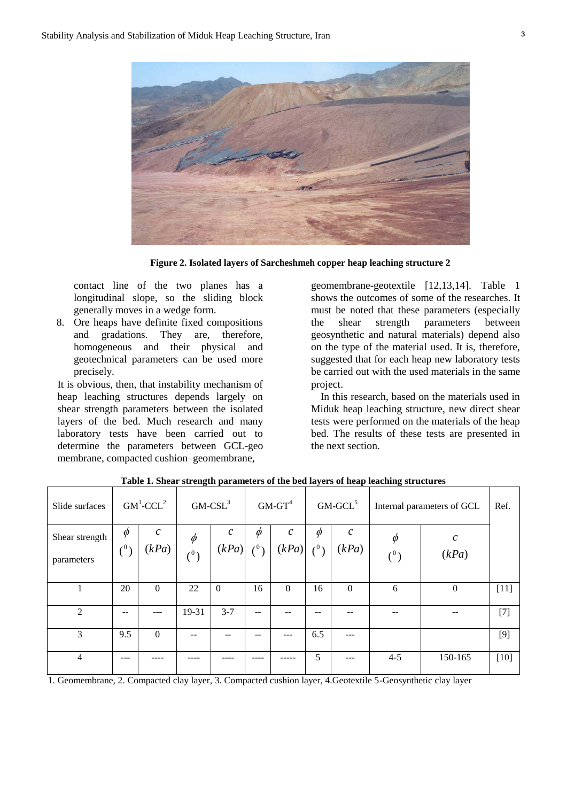

**Figure 2. Isolated layers of Sarcheshmeh copper heap leaching structure 2**

contact line of the two planes has a longitudinal slope, so the sliding block generally moves in a wedge form.

8. Ore heaps have definite fixed compositions and gradations. They are, therefore, homogeneous and their physical and geotechnical parameters can be used more precisely.

It is obvious, then, that instability mechanism of heap leaching structures depends largely on shear strength parameters between the isolated layers of the bed. Much research and many laboratory tests have been carried out to determine the parameters between GCL-geo membrane, compacted cushion–geomembrane,

geomembrane-geotextile [12,13,14]. Table 1 shows the outcomes of some of the researches. It must be noted that these parameters (especially the shear strength parameters between geosynthetic and natural materials) depend also on the type of the material used. It is, therefore, suggested that for each heap new laboratory tests be carried out with the used materials in the same project.

In this research, based on the materials used in Miduk heap leaching structure, new direct shear tests were performed on the materials of the heap bed. The results of these tests are presented in the next section.

| Slide surfaces               | $GM^1$ -CCL <sup>2</sup> |                        | $G$ M-CSL $3$            |                                      | $GM$ - $GT^4$ |                            | $GM-GCL5$                      |                       | Internal parameters of GCL |                                | Ref.   |
|------------------------------|--------------------------|------------------------|--------------------------|--------------------------------------|---------------|----------------------------|--------------------------------|-----------------------|----------------------------|--------------------------------|--------|
| Shear strength<br>parameters | $\phi$<br>(0)            | $\mathcal{C}$<br>(kPa) | $\phi$<br>$\binom{0}{0}$ | $\mathcal{C}_{\mathcal{C}}$<br>(kPa) | $\phi$<br>(0) | $\mathcal{C}_{0}$<br>(kPa) | $\varphi$<br>$\mathcal{L}^{0}$ | $\mathcal C$<br>(kPa) | $\phi$<br>$\binom{0}{0}$   | $\mathcal{C}_{0}^{0}$<br>(kPa) |        |
|                              | 20                       | $\Omega$               | 22                       | $\theta$                             | 16            | $\Omega$                   | 16                             | $\mathbf{0}$          | 6                          | $\theta$                       | $[11]$ |
| $\mathfrak{D}$               | --                       |                        | 19-31                    | $3 - 7$                              | $- -$         |                            |                                |                       |                            |                                | $[7]$  |
| 3                            | 9.5                      | $\Omega$               |                          |                                      |               |                            | 6.5                            |                       |                            |                                | $[9]$  |
| 4                            |                          |                        |                          |                                      |               |                            | 5                              |                       | $4 - 5$                    | 150-165                        | $[10]$ |

**Table 1. Shear strength parameters of the bed layers of heap leaching structures**

1. Geomembrane, 2. Compacted clay layer, 3. Compacted cushion layer, 4.Geotextile 5-Geosynthetic clay layer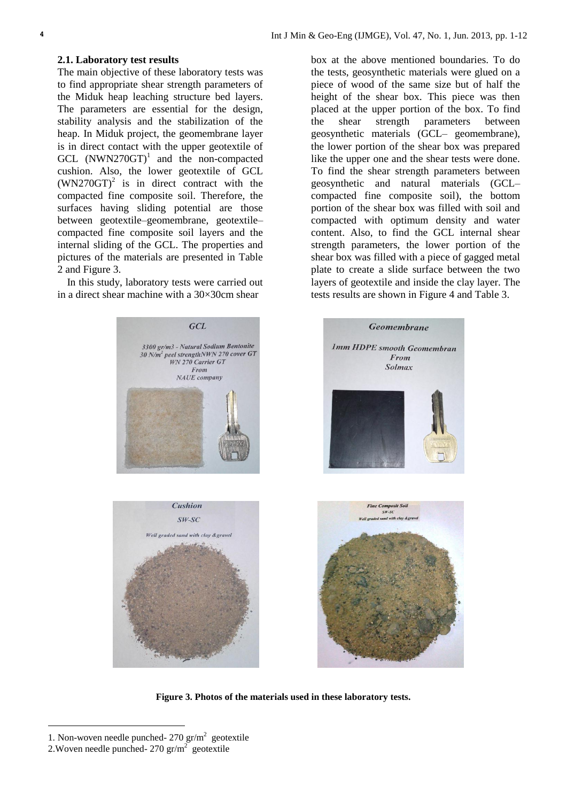#### **2.1. Laboratory test results**

The main objective of these laboratory tests was to find appropriate shear strength parameters of the Miduk heap leaching structure bed layers. The parameters are essential for the design, stability analysis and the stabilization of the heap. In Miduk project, the geomembrane layer is in direct contact with the upper geotextile of GCL  $(NWN270GT)^1$  and the non-compacted cushion. Also, the lower geotextile of GCL  $(WN270GT)^2$  is in direct contract with the compacted fine composite soil. Therefore, the surfaces having sliding potential are those between geotextile–geomembrane, geotextile– compacted fine composite soil layers and the internal sliding of the GCL. The properties and pictures of the materials are presented in Table 2 and Figure 3.

In this study, laboratory tests were carried out in a direct shear machine with a 30×30cm shear

box at the above mentioned boundaries. To do the tests, geosynthetic materials were glued on a piece of wood of the same size but of half the height of the shear box. This piece was then placed at the upper portion of the box. To find the shear strength parameters between geosynthetic materials (GCL– geomembrane), the lower portion of the shear box was prepared like the upper one and the shear tests were done. To find the shear strength parameters between geosynthetic and natural materials (GCL– compacted fine composite soil), the bottom portion of the shear box was filled with soil and compacted with optimum density and water content. Also, to find the GCL internal shear strength parameters, the lower portion of the shear box was filled with a piece of gagged metal plate to create a slide surface between the two layers of geotextile and inside the clay layer. The tests results are shown in Figure 4 and Table 3.



**Figure 3. Photos of the materials used in these laboratory tests.**

i<br>L

<sup>1.</sup> Non-woven needle punched- $270 \text{ gr/m}^2$  geotextile

<sup>2.</sup> Woven needle punched-  $270 \text{ gr/m}^2$  geotextile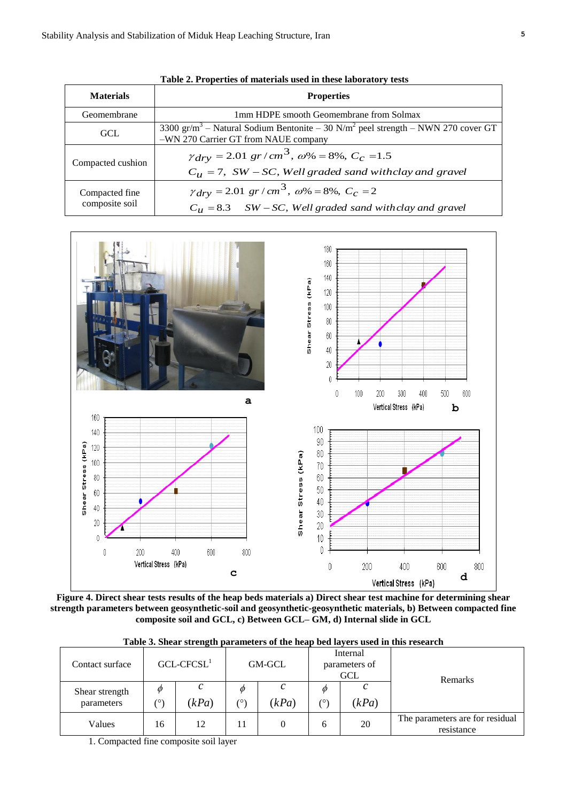| <b>Materials</b>                 | <b>Properties</b>                                                                                                                                |  |  |  |  |  |  |  |  |
|----------------------------------|--------------------------------------------------------------------------------------------------------------------------------------------------|--|--|--|--|--|--|--|--|
| Geomembrane                      | 1mm HDPE smooth Geomembrane from Solmax                                                                                                          |  |  |  |  |  |  |  |  |
| GCL                              | 3300 gr/m <sup>3</sup> – Natural Sodium Bentonite – 30 N/m <sup>2</sup> peel strength – NWN 270 cover GT<br>-WN 270 Carrier GT from NAUE company |  |  |  |  |  |  |  |  |
| Compacted cushion                | $\gamma_{\text{dry}} = 2.01 \text{ gr/cm}^3$ , $\omega\% = 8\%$ , $C_c = 1.5$<br>$C_{\mu}$ = 7, SW – SC, Well graded sand withclay and gravel    |  |  |  |  |  |  |  |  |
| Compacted fine<br>composite soil | $\gamma_{\text{dry}} = 2.01 \text{ gr/cm}^3$ , $\omega\% = 8\%$ , $C_c = 2$<br>$C_{\mu}$ = 8.3 SW – SC, Well graded sand with clay and gravel    |  |  |  |  |  |  |  |  |





**Figure 4. Direct shear tests results of the heap beds materials a) Direct shear test machine for determining shear strength parameters between geosynthetic-soil and geosynthetic-geosynthetic materials, b) Between compacted fine composite soil and GCL, c) Between GCL– GM, d) Internal slide in GCL**

| Table 3. Shear strength parameters of the heap bed layers used in this research |  |
|---------------------------------------------------------------------------------|--|
|---------------------------------------------------------------------------------|--|

| Contact surface              | $GCL-CFCSL1$ |       |                 | GM-GCL   |         | Internal<br>parameters of<br><b>GCL</b> | <b>Remarks</b>                                |  |  |
|------------------------------|--------------|-------|-----------------|----------|---------|-----------------------------------------|-----------------------------------------------|--|--|
| Shear strength<br>parameters | Ф<br>(٥      | (kPa) | Ø<br>$(^\circ)$ | с<br>kPa | Ø<br>٬ο | (kPa)                                   |                                               |  |  |
| Values                       | 16           | 12    | 11              | 0        | h       | 20                                      | The parameters are for residual<br>resistance |  |  |

1. Compacted fine composite soil layer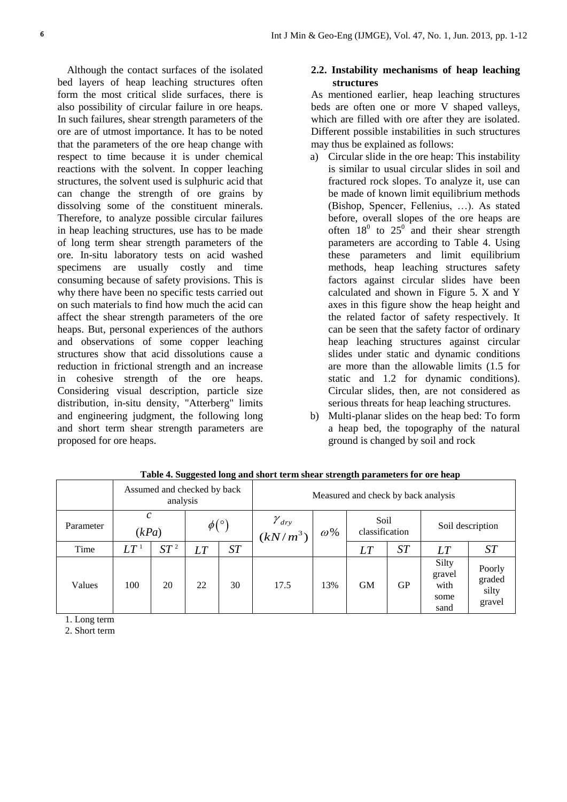Although the contact surfaces of the isolated bed layers of heap leaching structures often form the most critical slide surfaces, there is also possibility of circular failure in ore heaps. In such failures, shear strength parameters of the ore are of utmost importance. It has to be noted that the parameters of the ore heap change with respect to time because it is under chemical reactions with the solvent. In copper leaching structures, the solvent used is sulphuric acid that can change the strength of ore grains by dissolving some of the constituent minerals. Therefore, to analyze possible circular failures in heap leaching structures, use has to be made of long term shear strength parameters of the ore. In-situ laboratory tests on acid washed specimens are usually costly and time consuming because of safety provisions. This is why there have been no specific tests carried out on such materials to find how much the acid can affect the shear strength parameters of the ore heaps. But, personal experiences of the authors and observations of some copper leaching structures show that acid dissolutions cause a reduction in frictional strength and an increase in cohesive strength of the ore heaps. Considering visual description, particle size distribution, in-situ density, "Atterberg" limits and engineering judgment, the following long and short term shear strength parameters are proposed for ore heaps.

# **2.2. Instability mechanisms of heap leaching structures**

As mentioned earlier, heap leaching structures beds are often one or more V shaped valleys, which are filled with ore after they are isolated. Different possible instabilities in such structures may thus be explained as follows:

- a) Circular slide in the ore heap: This instability is similar to usual circular slides in soil and fractured rock slopes. To analyze it, use can be made of known limit equilibrium methods (Bishop, Spencer, Fellenius, …). As stated before, overall slopes of the ore heaps are often  $18^0$  to  $25^0$  and their shear strength parameters are according to Table 4. Using these parameters and limit equilibrium methods, heap leaching structures safety factors against circular slides have been calculated and shown in Figure 5. X and Y axes in this figure show the heap height and the related factor of safety respectively. It can be seen that the safety factor of ordinary heap leaching structures against circular slides under static and dynamic conditions are more than the allowable limits (1.5 for static and 1.2 for dynamic conditions). Circular slides, then, are not considered as serious threats for heap leaching structures.
- b) Multi-planar slides on the heap bed: To form a heap bed, the topography of the natural ground is changed by soil and rock

|           | Assumed and checked by back<br>analysis |        |               |    | Measured and check by back analysis                   |            |                        |           |                                         |                                     |
|-----------|-----------------------------------------|--------|---------------|----|-------------------------------------------------------|------------|------------------------|-----------|-----------------------------------------|-------------------------------------|
| Parameter | $\mathcal{C}$<br>(kPa)                  |        | $\phi(\circ)$ |    | $\left.\frac{\gamma_{\textit{dry}}}{(kN/m^3)}\right $ | $\omega$ % | Soil<br>classification |           | Soil description                        |                                     |
| Time      | $LT\,{}^{_1}$                           | $ST^2$ | LT            | ST |                                                       |            | LT                     | ST        | LT                                      | ST                                  |
| Values    | 100                                     | 20     | 22            | 30 | 17.5                                                  | 13%        | <b>GM</b>              | <b>GP</b> | Silty<br>gravel<br>with<br>some<br>sand | Poorly<br>graded<br>silty<br>gravel |

**Table 4. Suggested long and short term shear strength parameters for ore heap**

1. Long term

2. Short term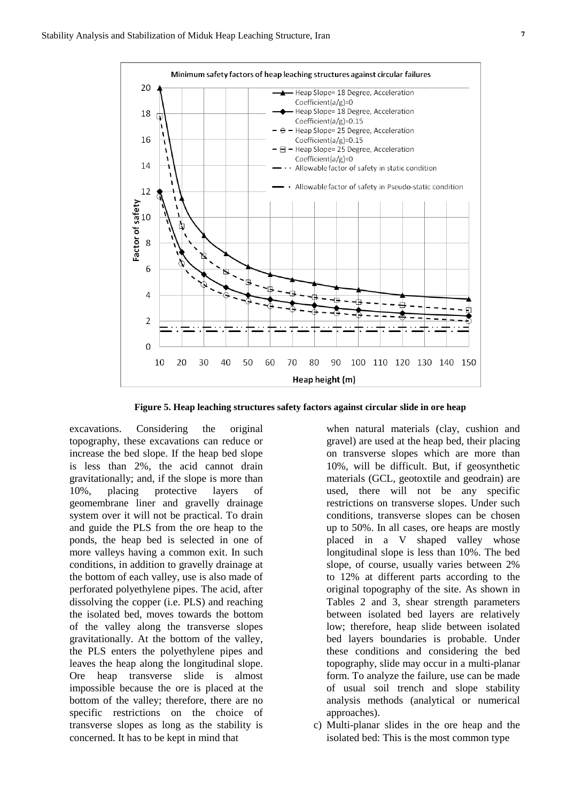

**Figure 5. Heap leaching structures safety factors against circular slide in ore heap**

excavations. Considering the original topography, these excavations can reduce or increase the bed slope. If the heap bed slope is less than 2%, the acid cannot drain gravitationally; and, if the slope is more than 10%, placing protective layers of geomembrane liner and gravelly drainage system over it will not be practical. To drain and guide the PLS from the ore heap to the ponds, the heap bed is selected in one of more valleys having a common exit. In such conditions, in addition to gravelly drainage at the bottom of each valley, use is also made of perforated polyethylene pipes. The acid, after dissolving the copper (i.e. PLS) and reaching the isolated bed, moves towards the bottom of the valley along the transverse slopes gravitationally. At the bottom of the valley, the PLS enters the polyethylene pipes and leaves the heap along the longitudinal slope. Ore heap transverse slide is almost impossible because the ore is placed at the bottom of the valley; therefore, there are no specific restrictions on the choice of transverse slopes as long as the stability is concerned. It has to be kept in mind that

when natural materials (clay, cushion and gravel) are used at the heap bed, their placing on transverse slopes which are more than 10%, will be difficult. But, if geosynthetic materials (GCL, geotoxtile and geodrain) are used, there will not be any specific restrictions on transverse slopes. Under such conditions, transverse slopes can be chosen up to 50%. In all cases, ore heaps are mostly placed in a V shaped valley whose longitudinal slope is less than 10%. The bed slope, of course, usually varies between 2% to 12% at different parts according to the original topography of the site. As shown in Tables 2 and 3, shear strength parameters between isolated bed layers are relatively low; therefore, heap slide between isolated bed layers boundaries is probable. Under these conditions and considering the bed topography, slide may occur in a multi-planar form. To analyze the failure, use can be made of usual soil trench and slope stability analysis methods (analytical or numerical approaches).

c) Multi-planar slides in the ore heap and the isolated bed: This is the most common type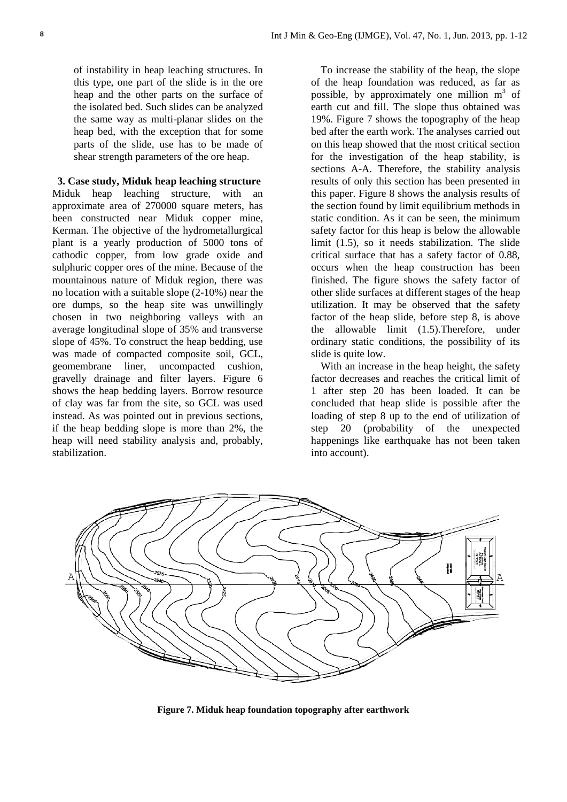of instability in heap leaching structures. In this type, one part of the slide is in the ore heap and the other parts on the surface of the isolated bed. Such slides can be analyzed the same way as multi-planar slides on the heap bed, with the exception that for some parts of the slide, use has to be made of shear strength parameters of the ore heap.

**3. Case study, Miduk heap leaching structure** Miduk heap leaching structure, with an approximate area of 270000 square meters, has been constructed near Miduk copper mine, Kerman. The objective of the hydrometallurgical plant is a yearly production of 5000 tons of cathodic copper, from low grade oxide and sulphuric copper ores of the mine. Because of the mountainous nature of Miduk region, there was no location with a suitable slope (2-10%) near the ore dumps, so the heap site was unwillingly chosen in two neighboring valleys with an average longitudinal slope of 35% and transverse slope of 45%. To construct the heap bedding, use was made of compacted composite soil, GCL, geomembrane liner, uncompacted cushion, gravelly drainage and filter layers. Figure 6 shows the heap bedding layers. Borrow resource of clay was far from the site, so GCL was used instead. As was pointed out in previous sections, if the heap bedding slope is more than 2%, the heap will need stability analysis and, probably, stabilization.

To increase the stability of the heap, the slope of the heap foundation was reduced, as far as possible, by approximately one million  $m<sup>3</sup>$  of earth cut and fill. The slope thus obtained was 19%. Figure 7 shows the topography of the heap bed after the earth work. The analyses carried out on this heap showed that the most critical section for the investigation of the heap stability, is sections A-A. Therefore, the stability analysis results of only this section has been presented in this paper. Figure 8 shows the analysis results of the section found by limit equilibrium methods in static condition. As it can be seen, the minimum safety factor for this heap is below the allowable limit (1.5), so it needs stabilization. The slide critical surface that has a safety factor of 0.88, occurs when the heap construction has been finished. The figure shows the safety factor of other slide surfaces at different stages of the heap utilization. It may be observed that the safety factor of the heap slide, before step 8, is above the allowable limit (1.5).Therefore, under ordinary static conditions, the possibility of its slide is quite low.

With an increase in the heap height, the safety factor decreases and reaches the critical limit of 1 after step 20 has been loaded. It can be concluded that heap slide is possible after the loading of step 8 up to the end of utilization of step 20 (probability of the unexpected happenings like earthquake has not been taken into account).



**Figure 7. Miduk heap foundation topography after earthwork**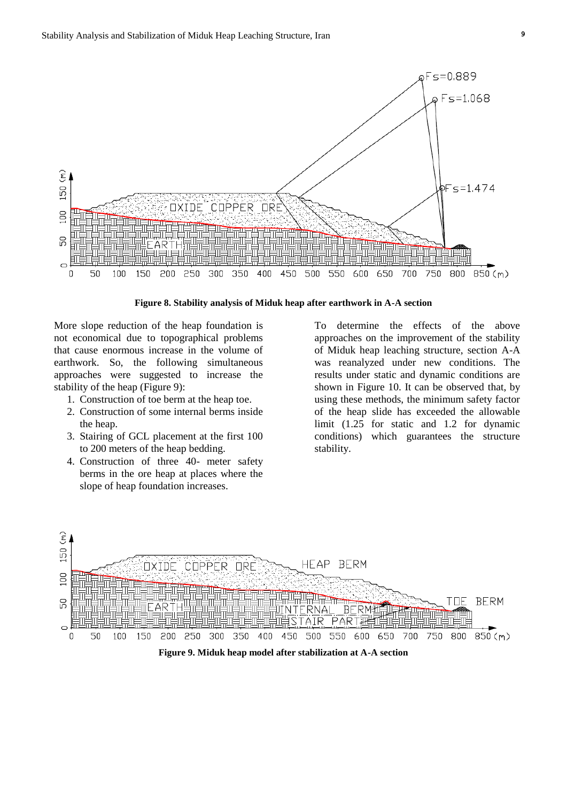

**Figure 8. Stability analysis of Miduk heap after earthwork in A-A section**

More slope reduction of the heap foundation is not economical due to topographical problems that cause enormous increase in the volume of earthwork. So, the following simultaneous approaches were suggested to increase the stability of the heap (Figure 9):

- 1. Construction of toe berm at the heap toe.
- 2. Construction of some internal berms inside the heap.
- 3. Stairing of GCL placement at the first 100 to 200 meters of the heap bedding.
- 4. Construction of three 40- meter safety berms in the ore heap at places where the slope of heap foundation increases.

To determine the effects of the above approaches on the improvement of the stability of Miduk heap leaching structure, section A-A was reanalyzed under new conditions. The results under static and dynamic conditions are shown in Figure 10. It can be observed that, by using these methods, the minimum safety factor of the heap slide has exceeded the allowable limit (1.25 for static and 1.2 for dynamic conditions) which guarantees the structure stability.

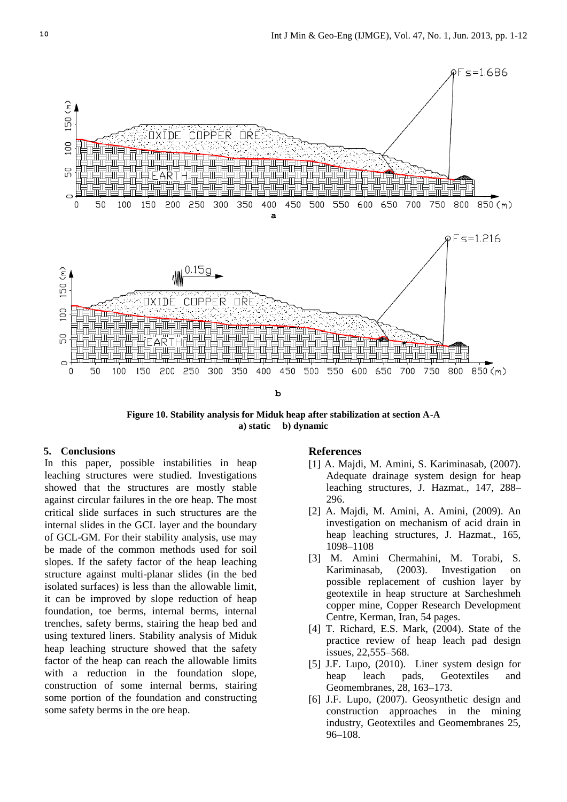

**Figure 10. Stability analysis for Miduk heap after stabilization at section A-A a) static b) dynamic**

## **5. Conclusions**

In this paper, possible instabilities in heap leaching structures were studied. Investigations showed that the structures are mostly stable against circular failures in the ore heap. The most critical slide surfaces in such structures are the internal slides in the GCL layer and the boundary of GCL-GM. For their stability analysis, use may be made of the common methods used for soil slopes. If the safety factor of the heap leaching structure against multi-planar slides (in the bed isolated surfaces) is less than the allowable limit, it can be improved by slope reduction of heap foundation, toe berms, internal berms, internal trenches, safety berms, stairing the heap bed and using textured liners. Stability analysis of Miduk heap leaching structure showed that the safety factor of the heap can reach the allowable limits with a reduction in the foundation slope, construction of some internal berms, stairing some portion of the foundation and constructing some safety berms in the ore heap.

## **References**

- [1] A. Majdi, M. Amini, S. Kariminasab, (2007). Adequate drainage system design for heap leaching structures, J. Hazmat., 147, 288– 296.
- [2] A. Majdi, M. Amini, A. Amini, (2009). An investigation on mechanism of acid drain in heap leaching structures, J. Hazmat., 165, 1098–1108
- [3] M. Amini Chermahini, M. Torabi, S. Kariminasab, (2003). Investigation on possible replacement of cushion layer by geotextile in heap structure at Sarcheshmeh copper mine, Copper Research Development Centre, Kerman, Iran, 54 pages.
- [4] T. Richard, E.S. Mark, (2004). State of the practice review of heap leach pad design issues, 22,555–568.
- [5] J.F. Lupo, (2010). Liner system design for heap leach pads, Geotextiles and Geomembranes, 28, 163–173.
- [6] J.F. Lupo, (2007). Geosynthetic design and construction approaches in the mining industry, Geotextiles and Geomembranes 25, 96–108.